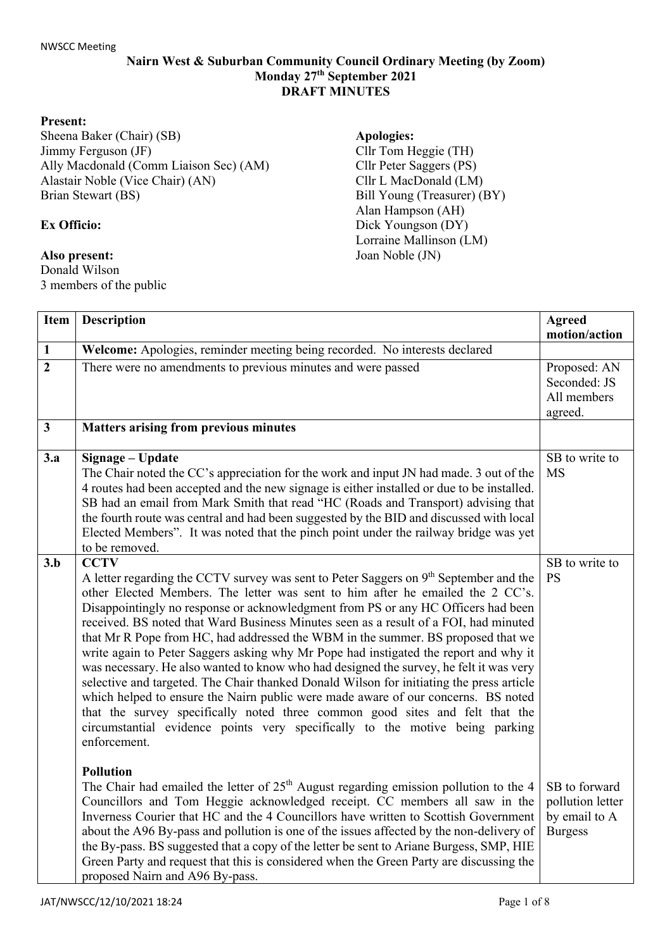## **Nairn West & Suburban Community Council Ordinary Meeting (by Zoom) Monday 27th September 2021 DRAFT MINUTES**

## **Present:**

Sheena Baker (Chair) (SB) Jimmy Ferguson (JF) Ally Macdonald (Comm Liaison Sec) (AM) Alastair Noble (Vice Chair) (AN) Brian Stewart (BS)

## **Ex Officio:**

## **Also present:**

Donald Wilson 3 members of the public

**Apologies:** Cllr Tom Heggie (TH) Cllr Peter Saggers (PS) Cllr L MacDonald (LM) Bill Young (Treasurer) (BY) Alan Hampson (AH) Dick Youngson (DY) Lorraine Mallinson (LM) Joan Noble (JN)

| <b>Item</b>    | <b>Description</b>                                                                                | <b>Agreed</b>    |
|----------------|---------------------------------------------------------------------------------------------------|------------------|
|                |                                                                                                   | motion/action    |
| $\mathbf{1}$   | Welcome: Apologies, reminder meeting being recorded. No interests declared                        |                  |
| $\overline{2}$ | There were no amendments to previous minutes and were passed                                      | Proposed: AN     |
|                |                                                                                                   | Seconded: JS     |
|                |                                                                                                   | All members      |
|                |                                                                                                   | agreed.          |
| $\mathbf{3}$   | <b>Matters arising from previous minutes</b>                                                      |                  |
| 3.a            | Signage - Update                                                                                  | SB to write to   |
|                | The Chair noted the CC's appreciation for the work and input JN had made. 3 out of the            | <b>MS</b>        |
|                | 4 routes had been accepted and the new signage is either installed or due to be installed.        |                  |
|                | SB had an email from Mark Smith that read "HC (Roads and Transport) advising that                 |                  |
|                | the fourth route was central and had been suggested by the BID and discussed with local           |                  |
|                | Elected Members". It was noted that the pinch point under the railway bridge was yet              |                  |
|                | to be removed.                                                                                    |                  |
| 3.b            | <b>CCTV</b>                                                                                       | SB to write to   |
|                | A letter regarding the CCTV survey was sent to Peter Saggers on $9th$ September and the           | <b>PS</b>        |
|                | other Elected Members. The letter was sent to him after he emailed the 2 CC's.                    |                  |
|                | Disappointingly no response or acknowledgment from PS or any HC Officers had been                 |                  |
|                | received. BS noted that Ward Business Minutes seen as a result of a FOI, had minuted              |                  |
|                | that Mr R Pope from HC, had addressed the WBM in the summer. BS proposed that we                  |                  |
|                | write again to Peter Saggers asking why Mr Pope had instigated the report and why it              |                  |
|                | was necessary. He also wanted to know who had designed the survey, he felt it was very            |                  |
|                | selective and targeted. The Chair thanked Donald Wilson for initiating the press article          |                  |
|                | which helped to ensure the Nairn public were made aware of our concerns. BS noted                 |                  |
|                | that the survey specifically noted three common good sites and felt that the                      |                  |
|                | circumstantial evidence points very specifically to the motive being parking<br>enforcement.      |                  |
|                |                                                                                                   |                  |
|                | <b>Pollution</b>                                                                                  |                  |
|                | The Chair had emailed the letter of 25 <sup>th</sup> August regarding emission pollution to the 4 | SB to forward    |
|                | Councillors and Tom Heggie acknowledged receipt. CC members all saw in the                        | pollution letter |
|                | Inverness Courier that HC and the 4 Councillors have written to Scottish Government               | by email to A    |
|                | about the A96 By-pass and pollution is one of the issues affected by the non-delivery of          | <b>Burgess</b>   |
|                | the By-pass. BS suggested that a copy of the letter be sent to Ariane Burgess, SMP, HIE           |                  |
|                | Green Party and request that this is considered when the Green Party are discussing the           |                  |
|                | proposed Nairn and A96 By-pass.                                                                   |                  |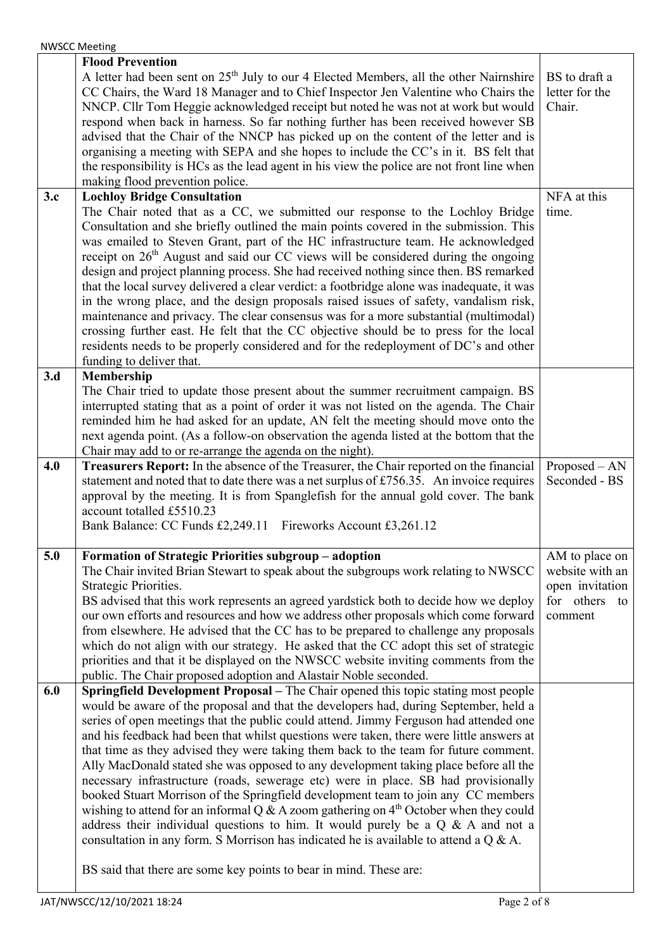|                  | <b>NWSCC Meeting</b>                                                                                                                                                                                                                                                                                                                                                                                                                                                                                                                                                                                                                                                                                                                                                                                                                                                                                                                                                                                                                                                         |                                                                                     |
|------------------|------------------------------------------------------------------------------------------------------------------------------------------------------------------------------------------------------------------------------------------------------------------------------------------------------------------------------------------------------------------------------------------------------------------------------------------------------------------------------------------------------------------------------------------------------------------------------------------------------------------------------------------------------------------------------------------------------------------------------------------------------------------------------------------------------------------------------------------------------------------------------------------------------------------------------------------------------------------------------------------------------------------------------------------------------------------------------|-------------------------------------------------------------------------------------|
|                  | <b>Flood Prevention</b><br>A letter had been sent on 25 <sup>th</sup> July to our 4 Elected Members, all the other Nairnshire<br>CC Chairs, the Ward 18 Manager and to Chief Inspector Jen Valentine who Chairs the<br>NNCP. Cllr Tom Heggie acknowledged receipt but noted he was not at work but would<br>respond when back in harness. So far nothing further has been received however SB<br>advised that the Chair of the NNCP has picked up on the content of the letter and is<br>organising a meeting with SEPA and she hopes to include the CC's in it. BS felt that<br>the responsibility is HCs as the lead agent in his view the police are not front line when<br>making flood prevention police.                                                                                                                                                                                                                                                                                                                                                               | BS to draft a<br>letter for the<br>Chair.                                           |
| 3.c              | <b>Lochloy Bridge Consultation</b><br>The Chair noted that as a CC, we submitted our response to the Lochloy Bridge<br>Consultation and she briefly outlined the main points covered in the submission. This<br>was emailed to Steven Grant, part of the HC infrastructure team. He acknowledged<br>receipt on 26 <sup>th</sup> August and said our CC views will be considered during the ongoing<br>design and project planning process. She had received nothing since then. BS remarked<br>that the local survey delivered a clear verdict: a footbridge alone was inadequate, it was<br>in the wrong place, and the design proposals raised issues of safety, vandalism risk,<br>maintenance and privacy. The clear consensus was for a more substantial (multimodal)<br>crossing further east. He felt that the CC objective should be to press for the local<br>residents needs to be properly considered and for the redeployment of DC's and other<br>funding to deliver that.                                                                                      | NFA at this<br>time.                                                                |
| 3.d              | Membership<br>The Chair tried to update those present about the summer recruitment campaign. BS<br>interrupted stating that as a point of order it was not listed on the agenda. The Chair<br>reminded him he had asked for an update, AN felt the meeting should move onto the<br>next agenda point. (As a follow-on observation the agenda listed at the bottom that the<br>Chair may add to or re-arrange the agenda on the night).                                                                                                                                                                                                                                                                                                                                                                                                                                                                                                                                                                                                                                       |                                                                                     |
| 4.0              | Treasurers Report: In the absence of the Treasurer, the Chair reported on the financial<br>statement and noted that to date there was a net surplus of £756.35. An invoice requires<br>approval by the meeting. It is from Spanglefish for the annual gold cover. The bank<br>account totalled £5510.23<br>Bank Balance: CC Funds £2,249.11 Fireworks Account £3,261.12                                                                                                                                                                                                                                                                                                                                                                                                                                                                                                                                                                                                                                                                                                      | $Proposed - AN$<br>Seconded - BS                                                    |
| $\overline{5.0}$ | Formation of Strategic Priorities subgroup - adoption<br>The Chair invited Brian Stewart to speak about the subgroups work relating to NWSCC<br>Strategic Priorities.<br>BS advised that this work represents an agreed yardstick both to decide how we deploy<br>our own efforts and resources and how we address other proposals which come forward<br>from elsewhere. He advised that the CC has to be prepared to challenge any proposals<br>which do not align with our strategy. He asked that the CC adopt this set of strategic<br>priorities and that it be displayed on the NWSCC website inviting comments from the<br>public. The Chair proposed adoption and Alastair Noble seconded.                                                                                                                                                                                                                                                                                                                                                                           | AM to place on<br>website with an<br>open invitation<br>for others<br>to<br>comment |
| 6.0              | Springfield Development Proposal - The Chair opened this topic stating most people<br>would be aware of the proposal and that the developers had, during September, held a<br>series of open meetings that the public could attend. Jimmy Ferguson had attended one<br>and his feedback had been that whilst questions were taken, there were little answers at<br>that time as they advised they were taking them back to the team for future comment.<br>Ally MacDonald stated she was opposed to any development taking place before all the<br>necessary infrastructure (roads, sewerage etc) were in place. SB had provisionally<br>booked Stuart Morrison of the Springfield development team to join any CC members<br>wishing to attend for an informal Q & A zoom gathering on $4th$ October when they could<br>address their individual questions to him. It would purely be a $Q & A$ and not a<br>consultation in any form. S Morrison has indicated he is available to attend a $Q & A$ .<br>BS said that there are some key points to bear in mind. These are: |                                                                                     |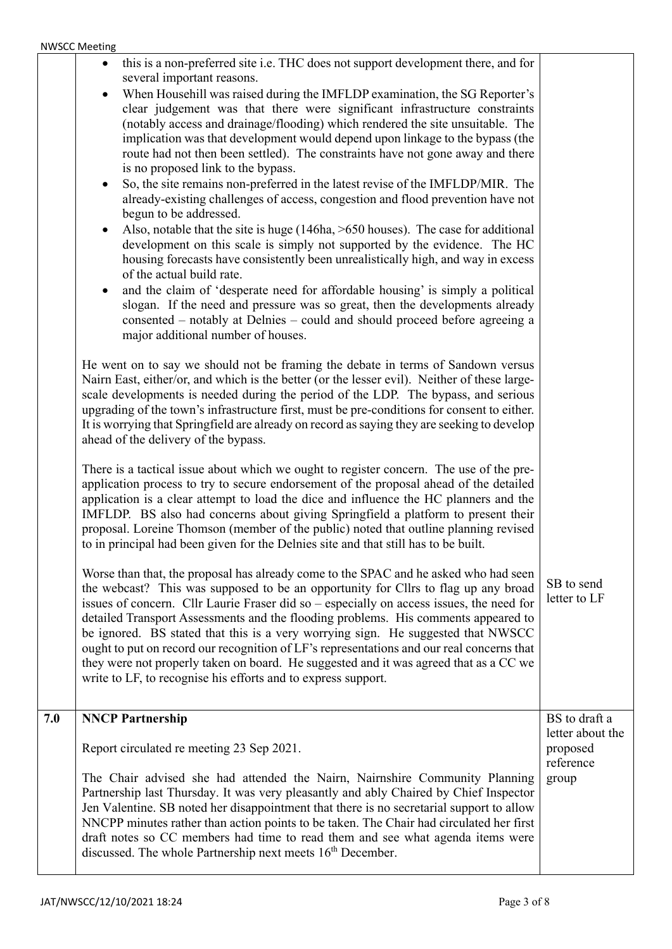|     | this is a non-preferred site i.e. THC does not support development there, and for<br>$\bullet$<br>several important reasons.<br>When Househill was raised during the IMFLDP examination, the SG Reporter's<br>$\bullet$<br>clear judgement was that there were significant infrastructure constraints<br>(notably access and drainage/flooding) which rendered the site unsuitable. The<br>implication was that development would depend upon linkage to the bypass (the<br>route had not then been settled). The constraints have not gone away and there<br>is no proposed link to the bypass.<br>So, the site remains non-preferred in the latest revise of the IMFLDP/MIR. The<br>$\bullet$<br>already-existing challenges of access, congestion and flood prevention have not<br>begun to be addressed.<br>Also, notable that the site is huge (146ha, >650 houses). The case for additional<br>$\bullet$<br>development on this scale is simply not supported by the evidence. The HC<br>housing forecasts have consistently been unrealistically high, and way in excess<br>of the actual build rate.<br>and the claim of 'desperate need for affordable housing' is simply a political<br>$\bullet$<br>slogan. If the need and pressure was so great, then the developments already<br>consented - notably at Delnies - could and should proceed before agreeing a<br>major additional number of houses.<br>He went on to say we should not be framing the debate in terms of Sandown versus<br>Nairn East, either/or, and which is the better (or the lesser evil). Neither of these large-<br>scale developments is needed during the period of the LDP. The bypass, and serious<br>upgrading of the town's infrastructure first, must be pre-conditions for consent to either.<br>It is worrying that Springfield are already on record as saying they are seeking to develop<br>ahead of the delivery of the bypass.<br>There is a tactical issue about which we ought to register concern. The use of the pre-<br>application process to try to secure endorsement of the proposal ahead of the detailed<br>application is a clear attempt to load the dice and influence the HC planners and the<br>IMFLDP. BS also had concerns about giving Springfield a platform to present their<br>proposal. Loreine Thomson (member of the public) noted that outline planning revised<br>to in principal had been given for the Delnies site and that still has to be built.<br>Worse than that, the proposal has already come to the SPAC and he asked who had seen<br>the webcast? This was supposed to be an opportunity for Cllrs to flag up any broad<br>issues of concern. Cllr Laurie Fraser did so – especially on access issues, the need for<br>detailed Transport Assessments and the flooding problems. His comments appeared to<br>be ignored. BS stated that this is a very worrying sign. He suggested that NWSCC<br>ought to put on record our recognition of LF's representations and our real concerns that<br>they were not properly taken on board. He suggested and it was agreed that as a CC we<br>write to LF, to recognise his efforts and to express support. | SB to send<br>letter to LF                                          |
|-----|-----------------------------------------------------------------------------------------------------------------------------------------------------------------------------------------------------------------------------------------------------------------------------------------------------------------------------------------------------------------------------------------------------------------------------------------------------------------------------------------------------------------------------------------------------------------------------------------------------------------------------------------------------------------------------------------------------------------------------------------------------------------------------------------------------------------------------------------------------------------------------------------------------------------------------------------------------------------------------------------------------------------------------------------------------------------------------------------------------------------------------------------------------------------------------------------------------------------------------------------------------------------------------------------------------------------------------------------------------------------------------------------------------------------------------------------------------------------------------------------------------------------------------------------------------------------------------------------------------------------------------------------------------------------------------------------------------------------------------------------------------------------------------------------------------------------------------------------------------------------------------------------------------------------------------------------------------------------------------------------------------------------------------------------------------------------------------------------------------------------------------------------------------------------------------------------------------------------------------------------------------------------------------------------------------------------------------------------------------------------------------------------------------------------------------------------------------------------------------------------------------------------------------------------------------------------------------------------------------------------------------------------------------------------------------------------------------------------------------------------------------------------------------------------------------------------------------------------------------------------------------------------------------------------------------------------------------------------------------------------------------------------------------------------------------------------------------------------------------------------------------------------------------------------------------------------------|---------------------------------------------------------------------|
| 7.0 | <b>NNCP Partnership</b><br>Report circulated re meeting 23 Sep 2021.<br>The Chair advised she had attended the Nairn, Nairnshire Community Planning<br>Partnership last Thursday. It was very pleasantly and ably Chaired by Chief Inspector                                                                                                                                                                                                                                                                                                                                                                                                                                                                                                                                                                                                                                                                                                                                                                                                                                                                                                                                                                                                                                                                                                                                                                                                                                                                                                                                                                                                                                                                                                                                                                                                                                                                                                                                                                                                                                                                                                                                                                                                                                                                                                                                                                                                                                                                                                                                                                                                                                                                                                                                                                                                                                                                                                                                                                                                                                                                                                                                                  | BS to draft a<br>letter about the<br>proposed<br>reference<br>group |
|     | Jen Valentine. SB noted her disappointment that there is no secretarial support to allow<br>NNCPP minutes rather than action points to be taken. The Chair had circulated her first<br>draft notes so CC members had time to read them and see what agenda items were<br>discussed. The whole Partnership next meets 16 <sup>th</sup> December.                                                                                                                                                                                                                                                                                                                                                                                                                                                                                                                                                                                                                                                                                                                                                                                                                                                                                                                                                                                                                                                                                                                                                                                                                                                                                                                                                                                                                                                                                                                                                                                                                                                                                                                                                                                                                                                                                                                                                                                                                                                                                                                                                                                                                                                                                                                                                                                                                                                                                                                                                                                                                                                                                                                                                                                                                                               |                                                                     |
|     |                                                                                                                                                                                                                                                                                                                                                                                                                                                                                                                                                                                                                                                                                                                                                                                                                                                                                                                                                                                                                                                                                                                                                                                                                                                                                                                                                                                                                                                                                                                                                                                                                                                                                                                                                                                                                                                                                                                                                                                                                                                                                                                                                                                                                                                                                                                                                                                                                                                                                                                                                                                                                                                                                                                                                                                                                                                                                                                                                                                                                                                                                                                                                                                               |                                                                     |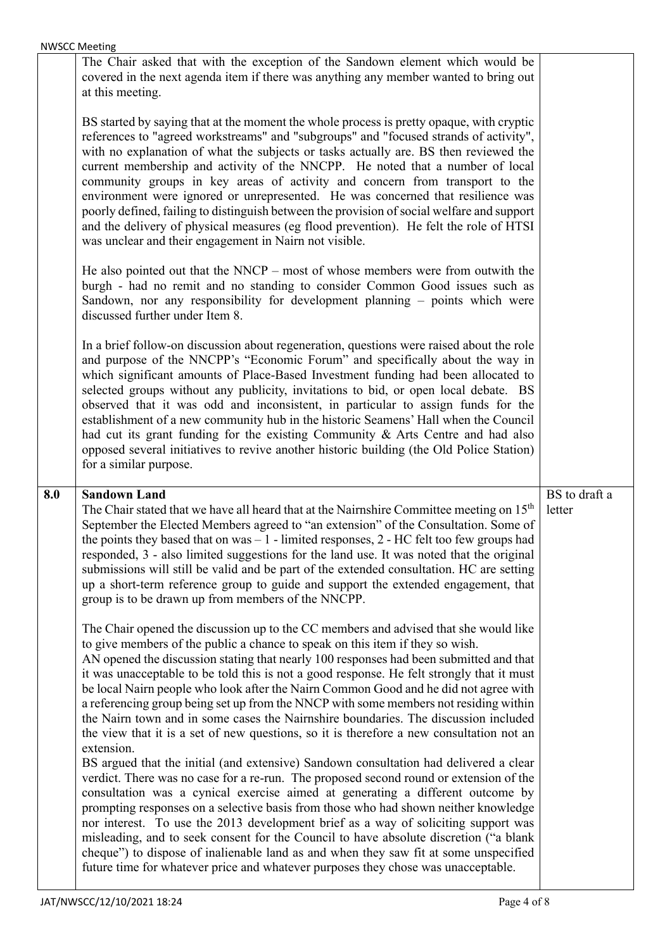|     | <b>NWSCC Meeting</b>                                                                                                                                                                                                                                                                                                                                                                                                                                                                                                                                                                                                                                                                                                                                                          |                         |
|-----|-------------------------------------------------------------------------------------------------------------------------------------------------------------------------------------------------------------------------------------------------------------------------------------------------------------------------------------------------------------------------------------------------------------------------------------------------------------------------------------------------------------------------------------------------------------------------------------------------------------------------------------------------------------------------------------------------------------------------------------------------------------------------------|-------------------------|
|     | The Chair asked that with the exception of the Sandown element which would be<br>covered in the next agenda item if there was anything any member wanted to bring out<br>at this meeting.                                                                                                                                                                                                                                                                                                                                                                                                                                                                                                                                                                                     |                         |
|     | BS started by saying that at the moment the whole process is pretty opaque, with cryptic<br>references to "agreed workstreams" and "subgroups" and "focused strands of activity",<br>with no explanation of what the subjects or tasks actually are. BS then reviewed the<br>current membership and activity of the NNCPP. He noted that a number of local<br>community groups in key areas of activity and concern from transport to the<br>environment were ignored or unrepresented. He was concerned that resilience was<br>poorly defined, failing to distinguish between the provision of social welfare and support<br>and the delivery of physical measures (eg flood prevention). He felt the role of HTSI<br>was unclear and their engagement in Nairn not visible. |                         |
|     | He also pointed out that the $NNCP$ – most of whose members were from outwith the<br>burgh - had no remit and no standing to consider Common Good issues such as<br>Sandown, nor any responsibility for development planning – points which were<br>discussed further under Item 8.                                                                                                                                                                                                                                                                                                                                                                                                                                                                                           |                         |
|     | In a brief follow-on discussion about regeneration, questions were raised about the role<br>and purpose of the NNCPP's "Economic Forum" and specifically about the way in<br>which significant amounts of Place-Based Investment funding had been allocated to<br>selected groups without any publicity, invitations to bid, or open local debate. BS<br>observed that it was odd and inconsistent, in particular to assign funds for the<br>establishment of a new community hub in the historic Seamens' Hall when the Council<br>had cut its grant funding for the existing Community & Arts Centre and had also<br>opposed several initiatives to revive another historic building (the Old Police Station)<br>for a similar purpose.                                     |                         |
|     |                                                                                                                                                                                                                                                                                                                                                                                                                                                                                                                                                                                                                                                                                                                                                                               |                         |
|     |                                                                                                                                                                                                                                                                                                                                                                                                                                                                                                                                                                                                                                                                                                                                                                               |                         |
| 8.0 | <b>Sandown Land</b><br>The Chair stated that we have all heard that at the Nairnshire Committee meeting on 15 <sup>th</sup><br>September the Elected Members agreed to "an extension" of the Consultation. Some of<br>the points they based that on $was - 1$ - limited responses, $2$ - HC felt too few groups had<br>responded, 3 - also limited suggestions for the land use. It was noted that the original<br>submissions will still be valid and be part of the extended consultation. HC are setting<br>up a short-term reference group to guide and support the extended engagement, that<br>group is to be drawn up from members of the NNCPP.                                                                                                                       | BS to draft a<br>letter |
|     | The Chair opened the discussion up to the CC members and advised that she would like<br>to give members of the public a chance to speak on this item if they so wish.<br>AN opened the discussion stating that nearly 100 responses had been submitted and that<br>it was unacceptable to be told this is not a good response. He felt strongly that it must<br>be local Nairn people who look after the Nairn Common Good and he did not agree with<br>a referencing group being set up from the NNCP with some members not residing within<br>the Nairn town and in some cases the Nairnshire boundaries. The discussion included<br>the view that it is a set of new questions, so it is therefore a new consultation not an<br>extension.                                 |                         |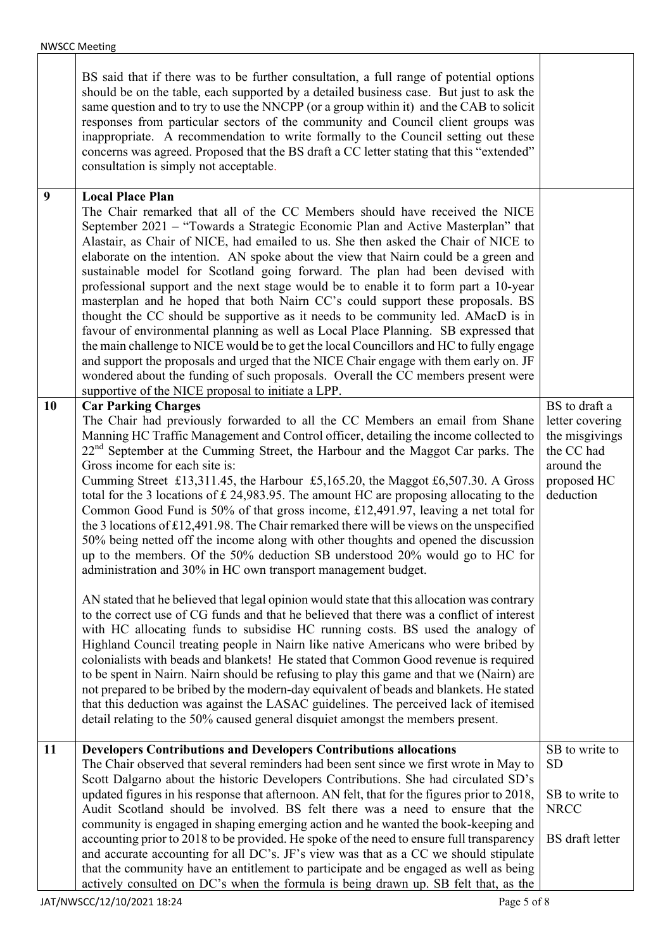|    | BS said that if there was to be further consultation, a full range of potential options<br>should be on the table, each supported by a detailed business case. But just to ask the<br>same question and to try to use the NNCPP (or a group within it) and the CAB to solicit<br>responses from particular sectors of the community and Council client groups was<br>inappropriate. A recommendation to write formally to the Council setting out these<br>concerns was agreed. Proposed that the BS draft a CC letter stating that this "extended"<br>consultation is simply not acceptable.                                                                                                                                                                                                                                                                                                                                                                                                                                                                                                                                                                                                                                                                                                                                                                                                                                                                                                                                                                                                                                                                                              |                                                                                                            |
|----|--------------------------------------------------------------------------------------------------------------------------------------------------------------------------------------------------------------------------------------------------------------------------------------------------------------------------------------------------------------------------------------------------------------------------------------------------------------------------------------------------------------------------------------------------------------------------------------------------------------------------------------------------------------------------------------------------------------------------------------------------------------------------------------------------------------------------------------------------------------------------------------------------------------------------------------------------------------------------------------------------------------------------------------------------------------------------------------------------------------------------------------------------------------------------------------------------------------------------------------------------------------------------------------------------------------------------------------------------------------------------------------------------------------------------------------------------------------------------------------------------------------------------------------------------------------------------------------------------------------------------------------------------------------------------------------------|------------------------------------------------------------------------------------------------------------|
| 9  | <b>Local Place Plan</b><br>The Chair remarked that all of the CC Members should have received the NICE<br>September 2021 – "Towards a Strategic Economic Plan and Active Masterplan" that<br>Alastair, as Chair of NICE, had emailed to us. She then asked the Chair of NICE to<br>elaborate on the intention. AN spoke about the view that Nairn could be a green and<br>sustainable model for Scotland going forward. The plan had been devised with<br>professional support and the next stage would be to enable it to form part a 10-year<br>masterplan and he hoped that both Nairn CC's could support these proposals. BS<br>thought the CC should be supportive as it needs to be community led. AMacD is in<br>favour of environmental planning as well as Local Place Planning. SB expressed that<br>the main challenge to NICE would be to get the local Councillors and HC to fully engage<br>and support the proposals and urged that the NICE Chair engage with them early on. JF<br>wondered about the funding of such proposals. Overall the CC members present were<br>supportive of the NICE proposal to initiate a LPP.                                                                                                                                                                                                                                                                                                                                                                                                                                                                                                                                                 |                                                                                                            |
| 10 | <b>Car Parking Charges</b><br>The Chair had previously forwarded to all the CC Members an email from Shane<br>Manning HC Traffic Management and Control officer, detailing the income collected to<br>22 <sup>nd</sup> September at the Cumming Street, the Harbour and the Maggot Car parks. The<br>Gross income for each site is:<br>Cumming Street £13,311.45, the Harbour £5,165.20, the Maggot £6,507.30. A Gross<br>total for the 3 locations of $£$ 24,983.95. The amount HC are proposing allocating to the<br>Common Good Fund is 50% of that gross income, $£12,491.97$ , leaving a net total for<br>the 3 locations of £12,491.98. The Chair remarked there will be views on the unspecified<br>50% being netted off the income along with other thoughts and opened the discussion<br>up to the members. Of the 50% deduction SB understood 20% would go to HC for<br>administration and 30% in HC own transport management budget.<br>AN stated that he believed that legal opinion would state that this allocation was contrary<br>to the correct use of CG funds and that he believed that there was a conflict of interest<br>with HC allocating funds to subsidise HC running costs. BS used the analogy of<br>Highland Council treating people in Nairn like native Americans who were bribed by<br>colonialists with beads and blankets! He stated that Common Good revenue is required<br>to be spent in Nairn. Nairn should be refusing to play this game and that we (Nairn) are<br>not prepared to be bribed by the modern-day equivalent of beads and blankets. He stated<br>that this deduction was against the LASAC guidelines. The perceived lack of itemised | BS to draft a<br>letter covering<br>the misgivings<br>the CC had<br>around the<br>proposed HC<br>deduction |
| 11 | detail relating to the 50% caused general disquiet amongst the members present.<br><b>Developers Contributions and Developers Contributions allocations</b><br>The Chair observed that several reminders had been sent since we first wrote in May to<br>Scott Dalgarno about the historic Developers Contributions. She had circulated SD's<br>updated figures in his response that afternoon. AN felt, that for the figures prior to 2018,<br>Audit Scotland should be involved. BS felt there was a need to ensure that the<br>community is engaged in shaping emerging action and he wanted the book-keeping and<br>accounting prior to 2018 to be provided. He spoke of the need to ensure full transparency<br>and accurate accounting for all DC's. JF's view was that as a CC we should stipulate<br>that the community have an entitlement to participate and be engaged as well as being<br>actively consulted on DC's when the formula is being drawn up. SB felt that, as the                                                                                                                                                                                                                                                                                                                                                                                                                                                                                                                                                                                                                                                                                                  | SB to write to<br><b>SD</b><br>SB to write to<br><b>NRCC</b><br><b>BS</b> draft letter                     |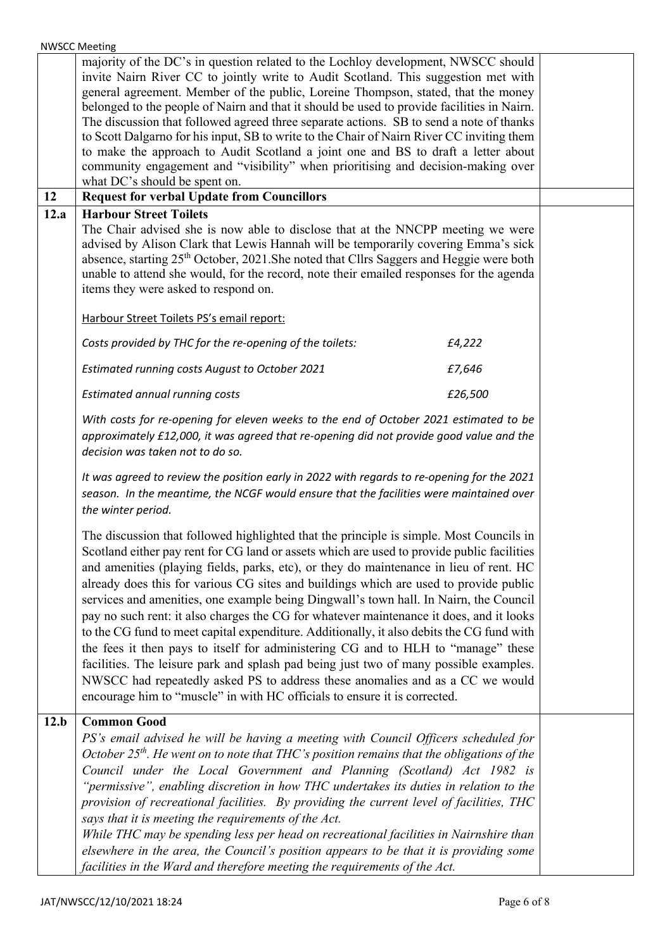|      | <b>NWSCC Meeting</b>                                                                                                                                                                                                                                                                                                                                                                                                                                                                                                                                                                                                                                                                                                                                                                                                                                                                                                                                                                                  |  |
|------|-------------------------------------------------------------------------------------------------------------------------------------------------------------------------------------------------------------------------------------------------------------------------------------------------------------------------------------------------------------------------------------------------------------------------------------------------------------------------------------------------------------------------------------------------------------------------------------------------------------------------------------------------------------------------------------------------------------------------------------------------------------------------------------------------------------------------------------------------------------------------------------------------------------------------------------------------------------------------------------------------------|--|
|      | majority of the DC's in question related to the Lochloy development, NWSCC should<br>invite Nairn River CC to jointly write to Audit Scotland. This suggestion met with<br>general agreement. Member of the public, Loreine Thompson, stated, that the money<br>belonged to the people of Nairn and that it should be used to provide facilities in Nairn.<br>The discussion that followed agreed three separate actions. SB to send a note of thanks<br>to Scott Dalgarno for his input, SB to write to the Chair of Nairn River CC inviting them<br>to make the approach to Audit Scotland a joint one and BS to draft a letter about<br>community engagement and "visibility" when prioritising and decision-making over<br>what DC's should be spent on.                                                                                                                                                                                                                                          |  |
| 12   | <b>Request for verbal Update from Councillors</b>                                                                                                                                                                                                                                                                                                                                                                                                                                                                                                                                                                                                                                                                                                                                                                                                                                                                                                                                                     |  |
| 12.a | <b>Harbour Street Toilets</b><br>The Chair advised she is now able to disclose that at the NNCPP meeting we were<br>advised by Alison Clark that Lewis Hannah will be temporarily covering Emma's sick<br>absence, starting 25 <sup>th</sup> October, 2021. She noted that Cllrs Saggers and Heggie were both<br>unable to attend she would, for the record, note their emailed responses for the agenda<br>items they were asked to respond on.                                                                                                                                                                                                                                                                                                                                                                                                                                                                                                                                                      |  |
|      | Harbour Street Toilets PS's email report:                                                                                                                                                                                                                                                                                                                                                                                                                                                                                                                                                                                                                                                                                                                                                                                                                                                                                                                                                             |  |
|      | Costs provided by THC for the re-opening of the toilets:<br>£4,222                                                                                                                                                                                                                                                                                                                                                                                                                                                                                                                                                                                                                                                                                                                                                                                                                                                                                                                                    |  |
|      | Estimated running costs August to October 2021<br>£7,646                                                                                                                                                                                                                                                                                                                                                                                                                                                                                                                                                                                                                                                                                                                                                                                                                                                                                                                                              |  |
|      | Estimated annual running costs<br>£26,500                                                                                                                                                                                                                                                                                                                                                                                                                                                                                                                                                                                                                                                                                                                                                                                                                                                                                                                                                             |  |
|      | With costs for re-opening for eleven weeks to the end of October 2021 estimated to be<br>approximately £12,000, it was agreed that re-opening did not provide good value and the<br>decision was taken not to do so.                                                                                                                                                                                                                                                                                                                                                                                                                                                                                                                                                                                                                                                                                                                                                                                  |  |
|      | It was agreed to review the position early in 2022 with regards to re-opening for the 2021<br>season. In the meantime, the NCGF would ensure that the facilities were maintained over<br>the winter period.                                                                                                                                                                                                                                                                                                                                                                                                                                                                                                                                                                                                                                                                                                                                                                                           |  |
|      | The discussion that followed highlighted that the principle is simple. Most Councils in<br>Scotland either pay rent for CG land or assets which are used to provide public facilities<br>and amenities (playing fields, parks, etc), or they do maintenance in lieu of rent. HC<br>already does this for various CG sites and buildings which are used to provide public<br>services and amenities, one example being Dingwall's town hall. In Nairn, the Council<br>pay no such rent: it also charges the CG for whatever maintenance it does, and it looks<br>to the CG fund to meet capital expenditure. Additionally, it also debits the CG fund with<br>the fees it then pays to itself for administering CG and to HLH to "manage" these<br>facilities. The leisure park and splash pad being just two of many possible examples.<br>NWSCC had repeatedly asked PS to address these anomalies and as a CC we would<br>encourage him to "muscle" in with HC officials to ensure it is corrected. |  |
| 12.b | <b>Common Good</b><br>PS's email advised he will be having a meeting with Council Officers scheduled for<br>October $25th$ . He went on to note that THC's position remains that the obligations of the<br>Council under the Local Government and Planning (Scotland) Act 1982 is<br>"permissive", enabling discretion in how THC undertakes its duties in relation to the<br>provision of recreational facilities. By providing the current level of facilities, THC<br>says that it is meeting the requirements of the Act.<br>While THC may be spending less per head on recreational facilities in Nairnshire than<br>elsewhere in the area, the Council's position appears to be that it is providing some<br>facilities in the Ward and therefore meeting the requirements of the Act.                                                                                                                                                                                                          |  |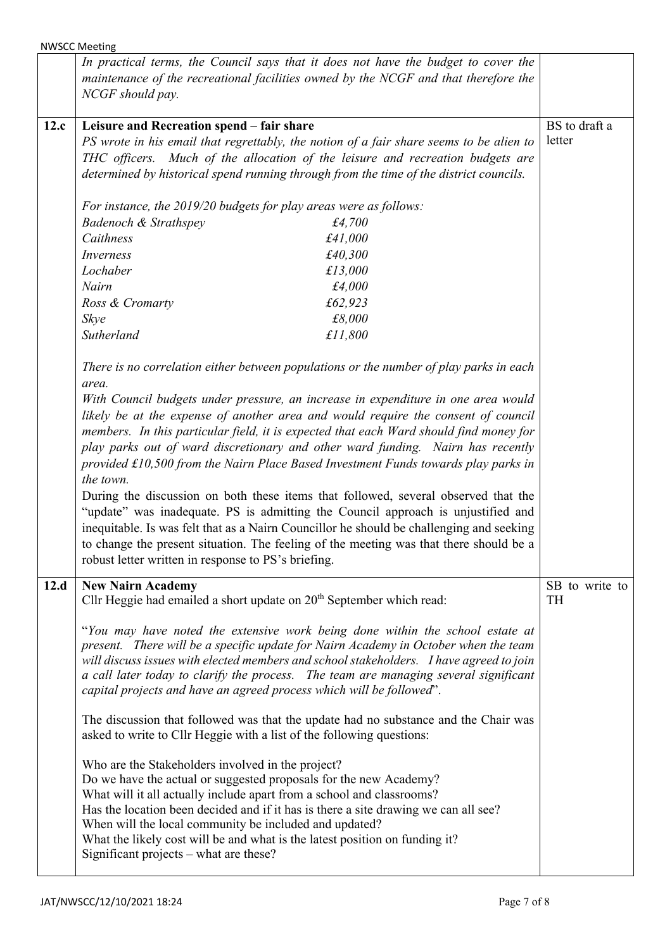|      | <b>NWSCC Meeting</b>                                                                                                                                                                                                                                                                                                                                                                                                                                                                                                                                                                                                                                                                                                                                                                                                                                                          |                             |
|------|-------------------------------------------------------------------------------------------------------------------------------------------------------------------------------------------------------------------------------------------------------------------------------------------------------------------------------------------------------------------------------------------------------------------------------------------------------------------------------------------------------------------------------------------------------------------------------------------------------------------------------------------------------------------------------------------------------------------------------------------------------------------------------------------------------------------------------------------------------------------------------|-----------------------------|
|      | In practical terms, the Council says that it does not have the budget to cover the<br>maintenance of the recreational facilities owned by the NCGF and that therefore the<br>NCGF should pay.                                                                                                                                                                                                                                                                                                                                                                                                                                                                                                                                                                                                                                                                                 |                             |
| 12.c | Leisure and Recreation spend - fair share                                                                                                                                                                                                                                                                                                                                                                                                                                                                                                                                                                                                                                                                                                                                                                                                                                     | BS to draft a               |
|      | PS wrote in his email that regrettably, the notion of a fair share seems to be alien to<br>THC officers. Much of the allocation of the leisure and recreation budgets are<br>determined by historical spend running through from the time of the district councils.                                                                                                                                                                                                                                                                                                                                                                                                                                                                                                                                                                                                           | letter                      |
|      | For instance, the 2019/20 budgets for play areas were as follows:                                                                                                                                                                                                                                                                                                                                                                                                                                                                                                                                                                                                                                                                                                                                                                                                             |                             |
|      | <b>Badenoch &amp; Strathspey</b><br>£4,700                                                                                                                                                                                                                                                                                                                                                                                                                                                                                                                                                                                                                                                                                                                                                                                                                                    |                             |
|      | £41,000<br>Caithness                                                                                                                                                                                                                                                                                                                                                                                                                                                                                                                                                                                                                                                                                                                                                                                                                                                          |                             |
|      | £40,300<br>Inverness                                                                                                                                                                                                                                                                                                                                                                                                                                                                                                                                                                                                                                                                                                                                                                                                                                                          |                             |
|      | Lochaber<br>£13,000                                                                                                                                                                                                                                                                                                                                                                                                                                                                                                                                                                                                                                                                                                                                                                                                                                                           |                             |
|      | Nairn<br>£4,000                                                                                                                                                                                                                                                                                                                                                                                                                                                                                                                                                                                                                                                                                                                                                                                                                                                               |                             |
|      | £62,923<br>Ross & Cromarty                                                                                                                                                                                                                                                                                                                                                                                                                                                                                                                                                                                                                                                                                                                                                                                                                                                    |                             |
|      | £8,000<br>Skye                                                                                                                                                                                                                                                                                                                                                                                                                                                                                                                                                                                                                                                                                                                                                                                                                                                                |                             |
|      | £11,800<br>Sutherland                                                                                                                                                                                                                                                                                                                                                                                                                                                                                                                                                                                                                                                                                                                                                                                                                                                         |                             |
|      | There is no correlation either between populations or the number of play parks in each<br>area.                                                                                                                                                                                                                                                                                                                                                                                                                                                                                                                                                                                                                                                                                                                                                                               |                             |
|      | With Council budgets under pressure, an increase in expenditure in one area would<br>likely be at the expense of another area and would require the consent of council<br>members. In this particular field, it is expected that each Ward should find money for<br>play parks out of ward discretionary and other ward funding. Nairn has recently<br>provided £10,500 from the Nairn Place Based Investment Funds towards play parks in<br>the town.<br>During the discussion on both these items that followed, several observed that the<br>"update" was inadequate. PS is admitting the Council approach is unjustified and<br>inequitable. Is was felt that as a Nairn Councillor he should be challenging and seeking<br>to change the present situation. The feeling of the meeting was that there should be a<br>robust letter written in response to PS's briefing. |                             |
| 12.d | <b>New Nairn Academy</b><br>Cllr Heggie had emailed a short update on $20th$ September which read:                                                                                                                                                                                                                                                                                                                                                                                                                                                                                                                                                                                                                                                                                                                                                                            | SB to write to<br><b>TH</b> |
|      | "You may have noted the extensive work being done within the school estate at<br>present. There will be a specific update for Nairn Academy in October when the team<br>will discuss issues with elected members and school stakeholders. I have agreed to join<br>a call later today to clarify the process. The team are managing several significant<br>capital projects and have an agreed process which will be followed".                                                                                                                                                                                                                                                                                                                                                                                                                                               |                             |
|      | The discussion that followed was that the update had no substance and the Chair was<br>asked to write to Cllr Heggie with a list of the following questions:                                                                                                                                                                                                                                                                                                                                                                                                                                                                                                                                                                                                                                                                                                                  |                             |
|      | Who are the Stakeholders involved in the project?<br>Do we have the actual or suggested proposals for the new Academy?<br>What will it all actually include apart from a school and classrooms?<br>Has the location been decided and if it has is there a site drawing we can all see?<br>When will the local community be included and updated?<br>What the likely cost will be and what is the latest position on funding it?<br>Significant projects – what are these?                                                                                                                                                                                                                                                                                                                                                                                                     |                             |